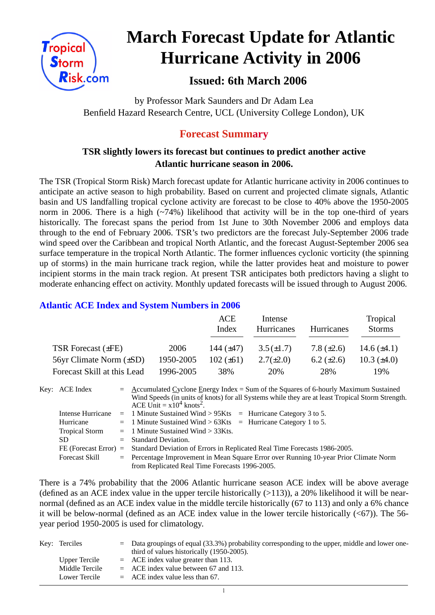

# **March Forecast Update for Atlantic Hurricane Activity in 2006**

# **Issued: 6th March 2006**

by Professor Mark Saunders and Dr Adam Lea Benfield Hazard Research Centre, UCL (University College London), UK

## **Forecast Summary**

### **TSR slightly lowers its forecast but continues to predict another active Atlantic hurricane season in 2006.**

The TSR (Tropical Storm Risk) March forecast update for Atlantic hurricane activity in 2006 continues to anticipate an active season to high probability. Based on current and projected climate signals, Atlantic basin and US landfalling tropical cyclone activity are forecast to be close to 40% above the 1950-2005 norm in 2006. There is a high  $(\sim 74\%)$  likelihood that activity will be in the top one-third of years historically. The forecast spans the period from 1st June to 30th November 2006 and employs data through to the end of February 2006. TSR's two predictors are the forecast July-September 2006 trade wind speed over the Caribbean and tropical North Atlantic, and the forecast August-September 2006 sea surface temperature in the tropical North Atlantic. The former influences cyclonic vorticity (the spinning up of storms) in the main hurricane track region, while the latter provides heat and moisture to power incipient storms in the main track region. At present TSR anticipates both predictors having a slight to moderate enhancing effect on activity. Monthly updated forecasts will be issued through to August 2006.

#### **Atlantic ACE Index and System Numbers in 2006**

|                              |           | ACE<br>Index   | Intense<br>Hurricanes | Hurricanes        | Tropical<br><b>Storms</b> |
|------------------------------|-----------|----------------|-----------------------|-------------------|---------------------------|
| TSR Forecast $(\pm FE)$      | 2006      | 144 $(\pm 47)$ | $3.5(\pm 1.7)$        | 7.8 $(\pm 2.6)$   | 14.6 $(\pm 4.1)$          |
| 56yr Climate Norm $(\pm SD)$ | 1950-2005 | $102 (\pm 61)$ | $2.7(\pm 2.0)$        | $6.2 \ (\pm 2.6)$ | 10.3 $(\pm 4.0)$          |
| Forecast Skill at this Lead  | 1996-2005 | 38%            | 20%                   | 28%               | 19%                       |

| Key: ACE Index        | $=$ Accumulated Cyclone Energy Index = Sum of the Squares of 6-hourly Maximum Sustained<br>Wind Speeds (in units of knots) for all Systems while they are at least Tropical Storm Strength.<br>ACE Unit = $x10^4$ knots <sup>2</sup> . |
|-----------------------|----------------------------------------------------------------------------------------------------------------------------------------------------------------------------------------------------------------------------------------|
|                       | Intense Hurricane = 1 Minute Sustained Wind > $95Kts$ = Hurricane Category 3 to 5.                                                                                                                                                     |
| Hurricane             | $=$ 1 Minute Sustained Wind > 63Kts $=$ Hurricane Category 1 to 5.                                                                                                                                                                     |
| <b>Tropical Storm</b> | $=$ 1 Minute Sustained Wind $>$ 33Kts.                                                                                                                                                                                                 |
| SD.                   | $=$ Standard Deviation.                                                                                                                                                                                                                |
|                       | FE (Forecast Error) = Standard Deviation of Errors in Replicated Real Time Forecasts 1986-2005.                                                                                                                                        |
| <b>Forecast Skill</b> | = Percentage Improvement in Mean Square Error over Running 10-year Prior Climate Norm                                                                                                                                                  |
|                       | from Replicated Real Time Forecasts 1996-2005.                                                                                                                                                                                         |

There is a 74% probability that the 2006 Atlantic hurricane season ACE index will be above average (defined as an ACE index value in the upper tercile historically  $(>113)$ ), a 20% likelihood it will be nearnormal (defined as an ACE index value in the middle tercile historically (67 to 113) and only a 6% chance it will be below-normal (defined as an ACE index value in the lower tercile historically  $( $67$ )$ ). The 56year period 1950-2005 is used for climatology.

| Key: Terciles  | $=$ Data groupings of equal (33.3%) probability corresponding to the upper, middle and lower one- |
|----------------|---------------------------------------------------------------------------------------------------|
|                | third of values historically (1950-2005).                                                         |
| Upper Tercile  | $=$ ACE index value greater than 113.                                                             |
| Middle Tercile | $=$ ACE index value between 67 and 113.                                                           |
| Lower Tercile  | $=$ ACE index value less than 67.                                                                 |

 $\overline{1}$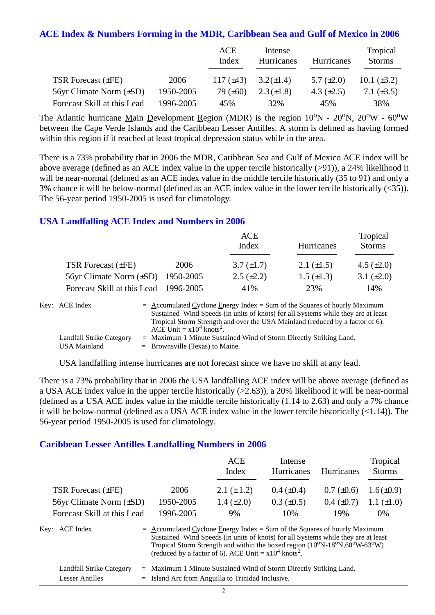#### **ACE Index & Numbers Forming in the MDR, Caribbean Sea and Gulf of Mexico in 2006**

|                              |           | ACE<br>Index   | Intense<br>Hurricanes | <b>Hurricanes</b> | Tropical<br><b>Storms</b> |
|------------------------------|-----------|----------------|-----------------------|-------------------|---------------------------|
| <b>TSR Forecast (±FE)</b>    | 2006      | 117 $(\pm 43)$ | $3.2(\pm 1.4)$        | 5.7 $(\pm 2.0)$   | 10.1 $(\pm 3.2)$          |
| 56yr Climate Norm $(\pm SD)$ | 1950-2005 | 79 $(\pm 60)$  | $2.3(\pm 1.8)$        | 4.3 $(\pm 2.5)$   | 7.1 $(\pm 3.5)$           |
| Forecast Skill at this Lead  | 1996-2005 | 45%            | 32%                   | 45%               | 38%                       |

The Atlantic hurricane Main Development Region (MDR) is the region  $10^{\circ}N - 20^{\circ}N$ ,  $20^{\circ}W - 60^{\circ}W$ between the Cape Verde Islands and the Caribbean Lesser Antilles. A storm is defined as having formed within this region if it reached at least tropical depression status while in the area.

There is a 73% probability that in 2006 the MDR, Caribbean Sea and Gulf of Mexico ACE index will be above average (defined as an ACE index value in the upper tercile historically (>91)), a 24% likelihood it will be near-normal (defined as an ACE index value in the middle tercile historically (35 to 91) and only a 3% chance it will be below-normal (defined as an ACE index value in the lower tercile historically (<35)). The 56-year period 1950-2005 is used for climatology.

#### **USA Landfalling ACE Index and Numbers in 2006**

|                                        |      | ACE<br>Index      | Hurricanes        | Tropical<br><b>Storms</b> |
|----------------------------------------|------|-------------------|-------------------|---------------------------|
| TSR Forecast $(\pm FE)$                | 2006 | $3.7 \ (\pm 1.7)$ | 2.1 $(\pm 1.5)$   | 4.5 $(\pm 2.0)$           |
| 56yr Climate Norm $(\pm SD)$ 1950-2005 |      | $2.5 \ (\pm 2.2)$ | $1.5 \ (\pm 1.3)$ | 3.1 $(\pm 2.0)$           |
| Forecast Skill at this Lead 1996-2005  |      | 41%               | 23%               | 14%                       |

| Key: ACE Index           | $=$ Accumulated Cyclone Energy Index = Sum of the Squares of hourly Maximum       |
|--------------------------|-----------------------------------------------------------------------------------|
|                          | Sustained Wind Speeds (in units of knots) for all Systems while they are at least |
|                          | Tropical Storm Strength and over the USA Mainland (reduced by a factor of 6).     |
|                          | ACE Unit = $x10^4$ knots <sup>2</sup> .                                           |
| Landfall Strike Category | $=$ Maximum 1 Minute Sustained Wind of Storm Directly Striking Land.              |
| USA Mainland             | $=$ Brownsville (Texas) to Maine.                                                 |

USA landfalling intense hurricanes are not forecast since we have no skill at any lead.

There is a 73% probability that in 2006 the USA landfalling ACE index will be above average (defined as a USA ACE index value in the upper tercile historically (>2.63)), a 20% likelihood it will be near-normal (defined as a USA ACE index value in the middle tercile historically (1.14 to 2.63) and only a 7% chance it will be below-normal (defined as a USA ACE index value in the lower tercile historically (<1.14)). The 56-year period 1950-2005 is used for climatology.

#### **Caribbean Lesser Antilles Landfalling Numbers in 2006**

|                                 |                                                                             | ACE<br>Index                                                                                                                                                                                                                          | Intense<br>Hurricanes | <b>Hurricanes</b> | Tropical<br><b>Storms</b> |
|---------------------------------|-----------------------------------------------------------------------------|---------------------------------------------------------------------------------------------------------------------------------------------------------------------------------------------------------------------------------------|-----------------------|-------------------|---------------------------|
| <b>TSR Forecast (±FE)</b>       | 2006                                                                        | 2.1 $(\pm 1.2)$                                                                                                                                                                                                                       | $0.4~(\pm 0.4)$       | $0.7 (\pm 0.6)$   | $1.6(\pm 0.9)$            |
| $56yr$ Climate Norm $(\pm SD)$  | 1950-2005                                                                   | 1.4 $(\pm 2.0)$                                                                                                                                                                                                                       | $0.3 \ (\pm 0.5)$     | $0.4~(\pm 0.7)$   | 1.1 $(\pm 1.0)$           |
| Forecast Skill at this Lead     | 1996-2005                                                                   | 9%                                                                                                                                                                                                                                    | 10%                   | 19%               | $0\%$                     |
| Key: ACE Index                  | $=$ Accumulated Cyclone Energy Index = Sum of the Squares of hourly Maximum | Sustained Wind Speeds (in units of knots) for all Systems while they are at least<br>Tropical Storm Strength and within the boxed region (10°N-18°N,60°W-63°W)<br>(reduced by a factor of 6). ACE Unit = $x10^4$ knots <sup>2</sup> . |                       |                   |                           |
| Landfall Strike Category<br>$=$ | Maximum 1 Minute Sustained Wind of Storm Directly Striking Land.            |                                                                                                                                                                                                                                       |                       |                   |                           |

Lesser Antilles  $=$  Island Arc from Anguilla to Trinidad Inclusive.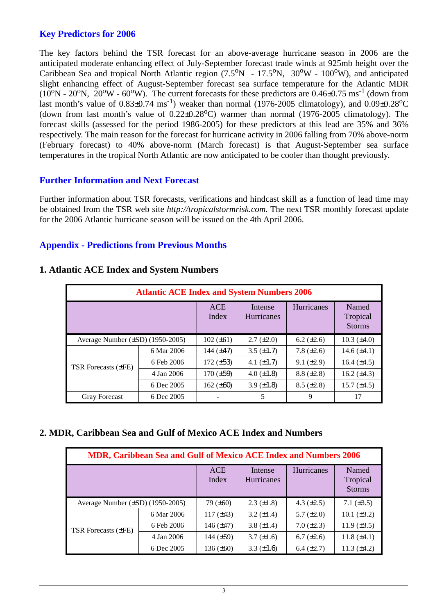#### **Key Predictors for 2006**

The key factors behind the TSR forecast for an above-average hurricane season in 2006 are the anticipated moderate enhancing effect of July-September forecast trade winds at 925mb height over the Caribbean Sea and tropical North Atlantic region  $(7.5^{\circ}N - 17.5^{\circ}N, 30^{\circ}W - 100^{\circ}W)$ , and anticipated slight enhancing effect of August-September forecast sea surface temperature for the Atlantic MDR  $(10^{\circ}N - 20^{\circ}N, 20^{\circ}W - 60^{\circ}W)$ . The current forecasts for these predictors are 0.46±0.75 ms<sup>-1</sup> (down from last month's value of  $0.83\pm0.74 \text{ ms}^{-1}$ ) weaker than normal (1976-2005 climatology), and  $0.09\pm0.28^{\circ}\text{C}$ (down from last month's value of  $0.22 \pm 0.28$ °C) warmer than normal (1976-2005 climatology). The forecast skills (assessed for the period 1986-2005) for these predictors at this lead are 35% and 36% respectively. The main reason for the forecast for hurricane activity in 2006 falling from 70% above-norm (February forecast) to 40% above-norm (March forecast) is that August-September sea surface temperatures in the tropical North Atlantic are now anticipated to be cooler than thought previously.

#### **Further Information and Next Forecast**

Further information about TSR forecasts, verifications and hindcast skill as a function of lead time may be obtained from the TSR web site *http://tropicalstormrisk.com*. The next TSR monthly forecast update for the 2006 Atlantic hurricane season will be issued on the 4th April 2006.

#### **Appendix - Predictions from Previous Months**

|                                       | <b>Atlantic ACE Index and System Numbers 2006</b> |                     |                       |                   |                                    |
|---------------------------------------|---------------------------------------------------|---------------------|-----------------------|-------------------|------------------------------------|
|                                       |                                                   | <b>ACE</b><br>Index | Intense<br>Hurricanes | <b>Hurricanes</b> | Named<br>Tropical<br><b>Storms</b> |
| Average Number $(\pm SD)$ (1950-2005) |                                                   | $102 (\pm 61)$      | $2.7 (\pm 2.0)$       | $6.2 (\pm 2.6)$   | $10.3 \ (\pm 4.0)$                 |
|                                       | 6 Mar 2006                                        | 144 $(\pm 47)$      | $3.5 \ (\pm 1.7)$     | 7.8 $(\pm 2.6)$   | 14.6 $(\pm 4.1)$                   |
| TSR Forecasts (±FE)                   | 6 Feb 2006                                        | $172 (\pm 53)$      | 4.1 $(\pm 1.7)$       | $9.1 (\pm 2.9)$   | 16.4 $(\pm 4.5)$                   |
|                                       | 4 Jan 2006                                        | $170 (\pm 59)$      | 4.0 $(\pm 1.8)$       | $8.8 (\pm 2.8)$   | 16.2 $(\pm 4.3)$                   |
|                                       | 6 Dec 2005                                        | 162 $(\pm 60)$      | 3.9 $(\pm 1.8)$       | $8.5 (\pm 2.8)$   | 15.7 $(\pm 4.5)$                   |
| <b>Gray Forecast</b>                  | 6 Dec 2005                                        |                     | 5                     | 9                 | 17                                 |

#### **1. Atlantic ACE Index and System Numbers**

#### **2. MDR, Caribbean Sea and Gulf of Mexico ACE Index and Numbers**

|                                       | <b>MDR, Caribbean Sea and Gulf of Mexico ACE Index and Numbers 2006</b> |                     |                              |                 |                                    |
|---------------------------------------|-------------------------------------------------------------------------|---------------------|------------------------------|-----------------|------------------------------------|
|                                       |                                                                         | <b>ACE</b><br>Index | Intense<br><b>Hurricanes</b> | Hurricanes      | Named<br>Tropical<br><b>Storms</b> |
| Average Number $(\pm SD)$ (1950-2005) |                                                                         | $79 (\pm 60)$       | $2.3 \ (\pm 1.8)$            | 4.3 $(\pm 2.5)$ | 7.1 $(\pm 3.5)$                    |
|                                       | 6 Mar 2006                                                              | $117 (\pm 43)$      | $3.2 \ (\pm 1.4)$            | $5.7 (\pm 2.0)$ | 10.1 $(\pm 3.2)$                   |
| TSR Forecasts (±FE)                   | 6 Feb 2006                                                              | 146 $(\pm 47)$      | 3.8 $(\pm 1.4)$              | $7.0 (\pm 2.3)$ | 11.9 $(\pm 3.5)$                   |
|                                       | 4 Jan 2006                                                              | 144 $(\pm 59)$      | $3.7 (\pm 1.6)$              | $6.7 (\pm 2.6)$ | 11.8 $(\pm 4.1)$                   |
|                                       | 6 Dec 2005                                                              | 136 $(\pm 60)$      | 3.3 $(\pm 1.6)$              | 6.4 $(\pm 2.7)$ | $11.3 \ (\pm 4.2)$                 |